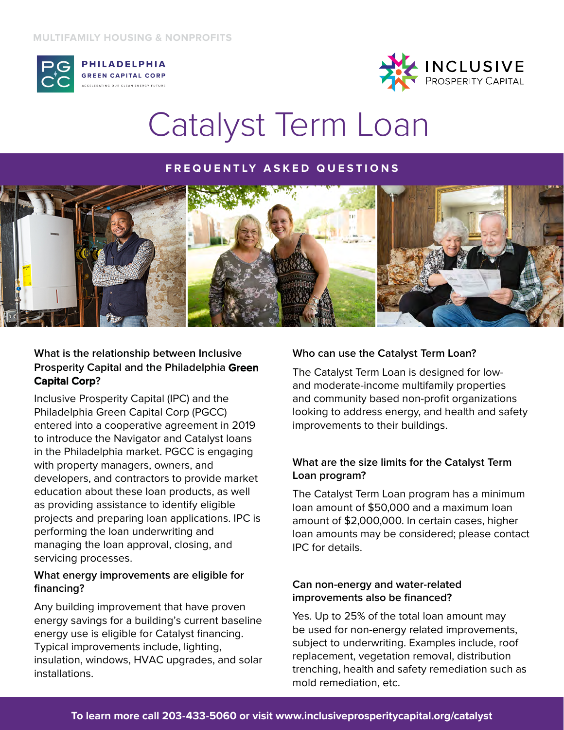

**PHILADELPHIA GREEN CAPITAL CORP** 



## Catalyst Term Loan

### **FREQUENTLY ASKED QUESTIONS**



## **What is the relationship between Inclusive Prosperity Capital and the Philadelphia Green Capital Corp?**

Inclusive Prosperity Capital (IPC) and the Philadelphia Green Capital Corp (PGCC) entered into a cooperative agreement in 2019 to introduce the Navigator and Catalyst loans in the Philadelphia market. PGCC is engaging with property managers, owners, and developers, and contractors to provide market education about these loan products, as well as providing assistance to identify eligible projects and preparing loan applications. IPC is performing the loan underwriting and managing the loan approval, closing, and servicing processes.

## **What energy improvements are eligible for financing?**

Any building improvement that have proven energy savings for a building's current baseline energy use is eligible for Catalyst financing. Typical improvements include, lighting, insulation, windows, HVAC upgrades, and solar installations.

## **Who can use the Catalyst Term Loan?**

The Catalyst Term Loan is designed for lowand moderate-income multifamily properties and community based non-profit organizations looking to address energy, and health and safety improvements to their buildings.

## **What are the size limits for the Catalyst Term Loan program?**

The Catalyst Term Loan program has a minimum loan amount of \$50,000 and a maximum loan amount of \$2,000,000. In certain cases, higher loan amounts may be considered; please contact IPC for details.

## **Can non-energy and water-related improvements also be financed?**

Yes. Up to 25% of the total loan amount may be used for non-energy related improvements, subject to underwriting. Examples include, roof replacement, vegetation removal, distribution trenching, health and safety remediation such as mold remediation, etc.